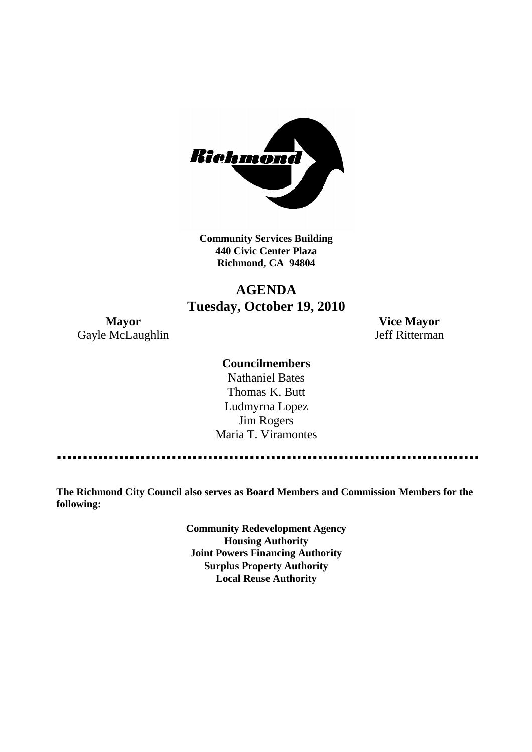

**Community Services Building 440 Civic Center Plaza Richmond, CA 94804**

# **AGENDA Tuesday, October 19, 2010**

Gayle McLaughlin Jeff Ritterman

**Mayor Vice Mayor**

## **Councilmembers**

Nathaniel Bates Thomas K. Butt Ludmyrna Lopez Jim Rogers Maria T. Viramontes

**The Richmond City Council also serves as Board Members and Commission Members for the following:**

> **Community Redevelopment Agency Housing Authority Joint Powers Financing Authority Surplus Property Authority Local Reuse Authority**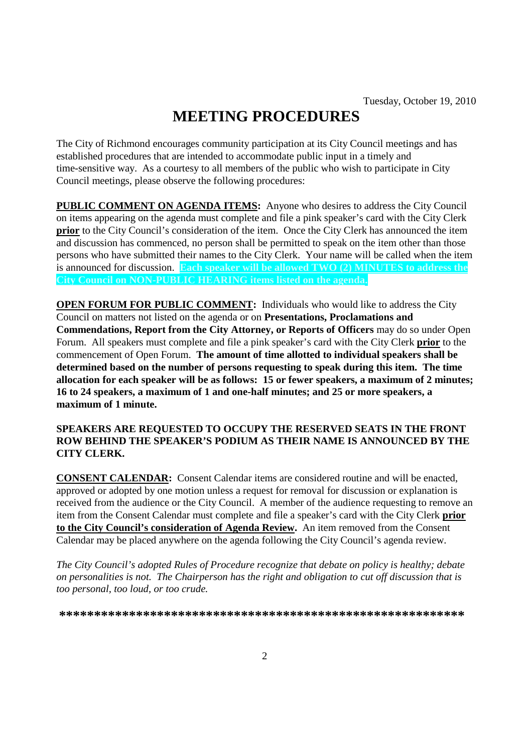# **MEETING PROCEDURES**

The City of Richmond encourages community participation at its City Council meetings and has established procedures that are intended to accommodate public input in a timely and time-sensitive way. As a courtesy to all members of the public who wish to participate in City Council meetings, please observe the following procedures:

**PUBLIC COMMENT ON AGENDA ITEMS:** Anyone who desires to address the City Council on items appearing on the agenda must complete and file a pink speaker's card with the City Clerk **prior** to the City Council's consideration of the item. Once the City Clerk has announced the item and discussion has commenced, no person shall be permitted to speak on the item other than those persons who have submitted their names to the City Clerk. Your name will be called when the item is announced for discussion. **Each speaker will be allowed TWO (2) MINUTES to address the City Council on NON-PUBLIC HEARING items listed on the agenda.**

**OPEN FORUM FOR PUBLIC COMMENT:** Individuals who would like to address the City Council on matters not listed on the agenda or on **Presentations, Proclamations and Commendations, Report from the City Attorney, or Reports of Officers** may do so under Open Forum. All speakers must complete and file a pink speaker's card with the City Clerk **prior** to the commencement of Open Forum. **The amount of time allotted to individual speakers shall be determined based on the number of persons requesting to speak during this item. The time allocation for each speaker will be as follows: 15 or fewer speakers, a maximum of 2 minutes; 16 to 24 speakers, a maximum of 1 and one-half minutes; and 25 or more speakers, a maximum of 1 minute.**

#### **SPEAKERS ARE REQUESTED TO OCCUPY THE RESERVED SEATS IN THE FRONT ROW BEHIND THE SPEAKER'S PODIUM AS THEIR NAME IS ANNOUNCED BY THE CITY CLERK.**

**CONSENT CALENDAR:** Consent Calendar items are considered routine and will be enacted, approved or adopted by one motion unless a request for removal for discussion or explanation is received from the audience or the City Council. A member of the audience requesting to remove an item from the Consent Calendar must complete and file a speaker's card with the City Clerk **prior to the City Council's consideration of Agenda Review.** An item removed from the Consent Calendar may be placed anywhere on the agenda following the City Council's agenda review.

*The City Council's adopted Rules of Procedure recognize that debate on policy is healthy; debate on personalities is not. The Chairperson has the right and obligation to cut off discussion that is too personal, too loud, or too crude.*

**\*\*\*\*\*\*\*\*\*\*\*\*\*\*\*\*\*\*\*\*\*\*\*\*\*\*\*\*\*\*\*\*\*\*\*\*\*\*\*\*\*\*\*\*\*\*\*\*\*\*\*\*\*\*\*\*\*\***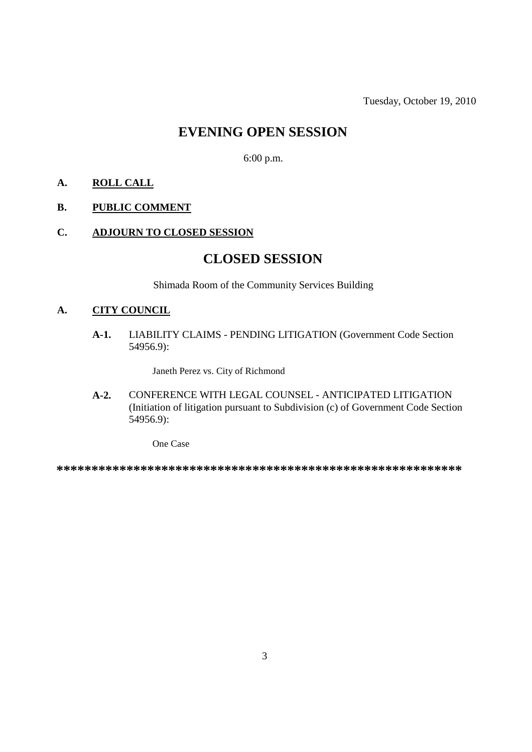Tuesday, October 19, 2010

# **EVENING OPEN SESSION**

6:00 p.m.

# **A. ROLL CALL**

#### **B. PUBLIC COMMENT**

#### **C. ADJOURN TO CLOSED SESSION**

# **CLOSED SESSION**

Shimada Room of the Community Services Building

## **A. CITY COUNCIL**

**A-1.** LIABILITY CLAIMS - PENDING LITIGATION (Government Code Section 54956.9):

Janeth Perez vs. City of Richmond

**A-2.** CONFERENCE WITH LEGAL COUNSEL - ANTICIPATED LITIGATION (Initiation of litigation pursuant to Subdivision (c) of Government Code Section 54956.9):

One Case

**\*\*\*\*\*\*\*\*\*\*\*\*\*\*\*\*\*\*\*\*\*\*\*\*\*\*\*\*\*\*\*\*\*\*\*\*\*\*\*\*\*\*\*\*\*\*\*\*\*\*\*\*\*\*\*\*\*\***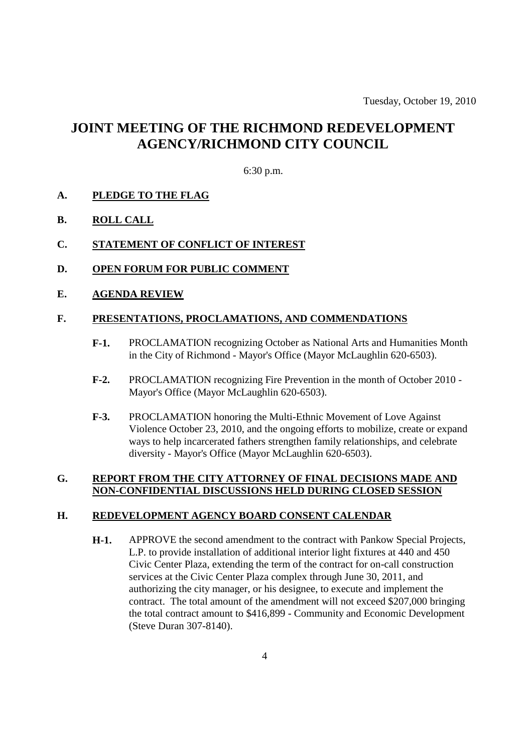# **JOINT MEETING OF THE RICHMOND REDEVELOPMENT AGENCY/RICHMOND CITY COUNCIL**

#### 6:30 p.m.

#### **A. PLEDGE TO THE FLAG**

#### **B. ROLL CALL**

#### **C. STATEMENT OF CONFLICT OF INTEREST**

**D. OPEN FORUM FOR PUBLIC COMMENT**

#### **E. AGENDA REVIEW**

#### **F. PRESENTATIONS, PROCLAMATIONS, AND COMMENDATIONS**

- **F-1.** PROCLAMATION recognizing October as National Arts and Humanities Month in the City of Richmond - Mayor's Office (Mayor McLaughlin 620-6503).
- **F-2.** PROCLAMATION recognizing Fire Prevention in the month of October 2010 Mayor's Office (Mayor McLaughlin 620-6503).
- **F-3.** PROCLAMATION honoring the Multi-Ethnic Movement of Love Against Violence October 23, 2010, and the ongoing efforts to mobilize, create or expand ways to help incarcerated fathers strengthen family relationships, and celebrate diversity - Mayor's Office (Mayor McLaughlin 620-6503).

#### **G. REPORT FROM THE CITY ATTORNEY OF FINAL DECISIONS MADE AND NON-CONFIDENTIAL DISCUSSIONS HELD DURING CLOSED SESSION**

#### **H. REDEVELOPMENT AGENCY BOARD CONSENT CALENDAR**

**H-1.** APPROVE the second amendment to the contract with Pankow Special Projects, L.P. to provide installation of additional interior light fixtures at 440 and 450 Civic Center Plaza, extending the term of the contract for on-call construction services at the Civic Center Plaza complex through June 30, 2011, and authorizing the city manager, or his designee, to execute and implement the contract. The total amount of the amendment will not exceed \$207,000 bringing the total contract amount to \$416,899 - Community and Economic Development (Steve Duran 307-8140).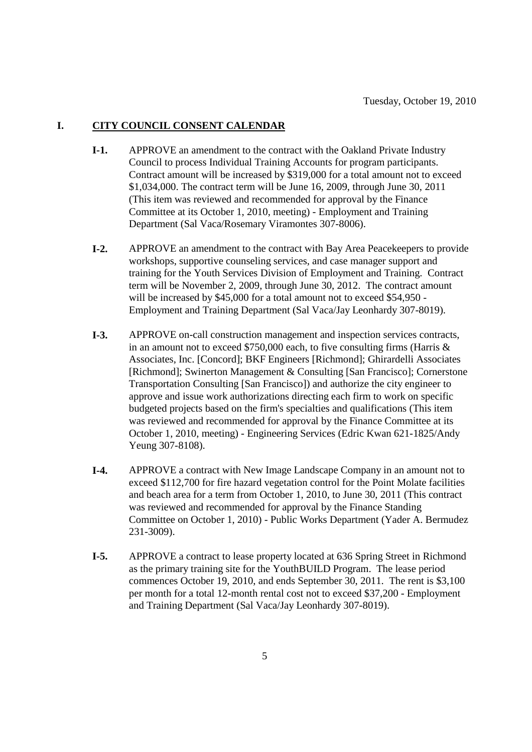#### **I. CITY COUNCIL CONSENT CALENDAR**

- **I-1.** APPROVE an amendment to the contract with the Oakland Private Industry Council to process Individual Training Accounts for program participants. Contract amount will be increased by \$319,000 for a total amount not to exceed \$1,034,000. The contract term will be June 16, 2009, through June 30, 2011 (This item was reviewed and recommended for approval by the Finance Committee at its October 1, 2010, meeting) - Employment and Training Department (Sal Vaca/Rosemary Viramontes 307-8006).
- **I-2.** APPROVE an amendment to the contract with Bay Area Peacekeepers to provide workshops, supportive counseling services, and case manager support and training for the Youth Services Division of Employment and Training. Contract term will be November 2, 2009, through June 30, 2012. The contract amount will be increased by \$45,000 for a total amount not to exceed \$54,950 - Employment and Training Department (Sal Vaca/Jay Leonhardy 307-8019).
- **I-3.** APPROVE on-call construction management and inspection services contracts, in an amount not to exceed \$750,000 each, to five consulting firms (Harris & Associates, Inc. [Concord]; BKF Engineers [Richmond]; Ghirardelli Associates [Richmond]; Swinerton Management & Consulting [San Francisco]; Cornerstone Transportation Consulting [San Francisco]) and authorize the city engineer to approve and issue work authorizations directing each firm to work on specific budgeted projects based on the firm's specialties and qualifications (This item was reviewed and recommended for approval by the Finance Committee at its October 1, 2010, meeting) - Engineering Services (Edric Kwan 621-1825/Andy Yeung 307-8108).
- **I-4.** APPROVE a contract with New Image Landscape Company in an amount not to exceed \$112,700 for fire hazard vegetation control for the Point Molate facilities and beach area for a term from October 1, 2010, to June 30, 2011 (This contract was reviewed and recommended for approval by the Finance Standing Committee on October 1, 2010) - Public Works Department (Yader A. Bermudez 231-3009).
- **I-5.** APPROVE a contract to lease property located at 636 Spring Street in Richmond as the primary training site for the YouthBUILD Program. The lease period commences October 19, 2010, and ends September 30, 2011. The rent is \$3,100 per month for a total 12-month rental cost not to exceed \$37,200 - Employment and Training Department (Sal Vaca/Jay Leonhardy 307-8019).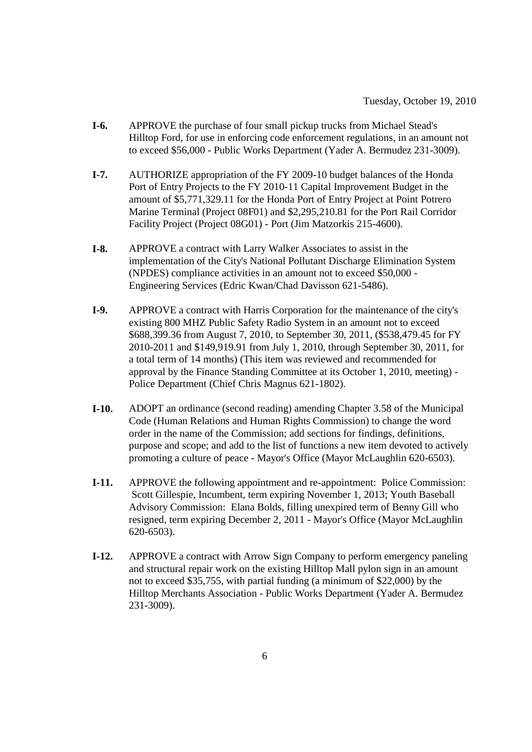- **I-6.** APPROVE the purchase of four small pickup trucks from Michael Stead's Hilltop Ford, for use in enforcing code enforcement regulations, in an amount not to exceed \$56,000 - Public Works Department (Yader A. Bermudez 231-3009).
- **I-7.** AUTHORIZE appropriation of the FY 2009-10 budget balances of the Honda Port of Entry Projects to the FY 2010-11 Capital Improvement Budget in the amount of \$5,771,329.11 for the Honda Port of Entry Project at Point Potrero Marine Terminal (Project 08F01) and \$2,295,210.81 for the Port Rail Corridor Facility Project (Project 08G01) - Port (Jim Matzorkis 215-4600).
- **I-8.** APPROVE a contract with Larry Walker Associates to assist in the implementation of the City's National Pollutant Discharge Elimination System (NPDES) compliance activities in an amount not to exceed \$50,000 - Engineering Services (Edric Kwan/Chad Davisson 621-5486).
- **I-9.** APPROVE a contract with Harris Corporation for the maintenance of the city's existing 800 MHZ Public Safety Radio System in an amount not to exceed \$688,399.36 from August 7, 2010, to September 30, 2011, (\$538,479.45 for FY 2010-2011 and \$149,919.91 from July 1, 2010, through September 30, 2011, for a total term of 14 months) (This item was reviewed and recommended for approval by the Finance Standing Committee at its October 1, 2010, meeting) - Police Department (Chief Chris Magnus 621-1802).
- **I-10.** ADOPT an ordinance (second reading) amending Chapter 3.58 of the Municipal Code (Human Relations and Human Rights Commission) to change the word order in the name of the Commission; add sections for findings, definitions, purpose and scope; and add to the list of functions a new item devoted to actively promoting a culture of peace - Mayor's Office (Mayor McLaughlin 620-6503).
- **I-11.** APPROVE the following appointment and re-appointment: Police Commission: Scott Gillespie, Incumbent, term expiring November 1, 2013; Youth Baseball Advisory Commission: Elana Bolds, filling unexpired term of Benny Gill who resigned, term expiring December 2, 2011 - Mayor's Office (Mayor McLaughlin 620-6503).
- **I-12.** APPROVE a contract with Arrow Sign Company to perform emergency paneling and structural repair work on the existing Hilltop Mall pylon sign in an amount not to exceed \$35,755, with partial funding (a minimum of \$22,000) by the Hilltop Merchants Association - Public Works Department (Yader A. Bermudez 231-3009).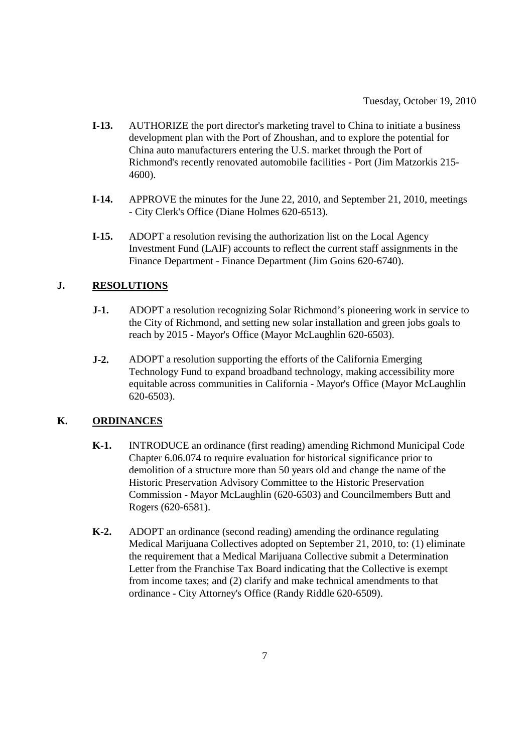- **I-13.** AUTHORIZE the port director's marketing travel to China to initiate a business development plan with the Port of Zhoushan, and to explore the potential for China auto manufacturers entering the U.S. market through the Port of Richmond's recently renovated automobile facilities - Port (Jim Matzorkis 215- 4600).
- **I-14.** APPROVE the minutes for the June 22, 2010, and September 21, 2010, meetings - City Clerk's Office (Diane Holmes 620-6513).
- **I-15.** ADOPT a resolution revising the authorization list on the Local Agency Investment Fund (LAIF) accounts to reflect the current staff assignments in the Finance Department - Finance Department (Jim Goins 620-6740).

# **J. RESOLUTIONS**

- **J-1.** ADOPT a resolution recognizing Solar Richmond's pioneering work in service to the City of Richmond, and setting new solar installation and green jobs goals to reach by 2015 - Mayor's Office (Mayor McLaughlin 620-6503).
- **J-2.** ADOPT a resolution supporting the efforts of the California Emerging Technology Fund to expand broadband technology, making accessibility more equitable across communities in California - Mayor's Office (Mayor McLaughlin 620-6503).

## **K. ORDINANCES**

- **K-1.** INTRODUCE an ordinance (first reading) amending Richmond Municipal Code Chapter 6.06.074 to require evaluation for historical significance prior to demolition of a structure more than 50 years old and change the name of the Historic Preservation Advisory Committee to the Historic Preservation Commission - Mayor McLaughlin (620-6503) and Councilmembers Butt and Rogers (620-6581).
- **K-2.** ADOPT an ordinance (second reading) amending the ordinance regulating Medical Marijuana Collectives adopted on September 21, 2010, to: (1) eliminate the requirement that a Medical Marijuana Collective submit a Determination Letter from the Franchise Tax Board indicating that the Collective is exempt from income taxes; and (2) clarify and make technical amendments to that ordinance - City Attorney's Office (Randy Riddle 620-6509).